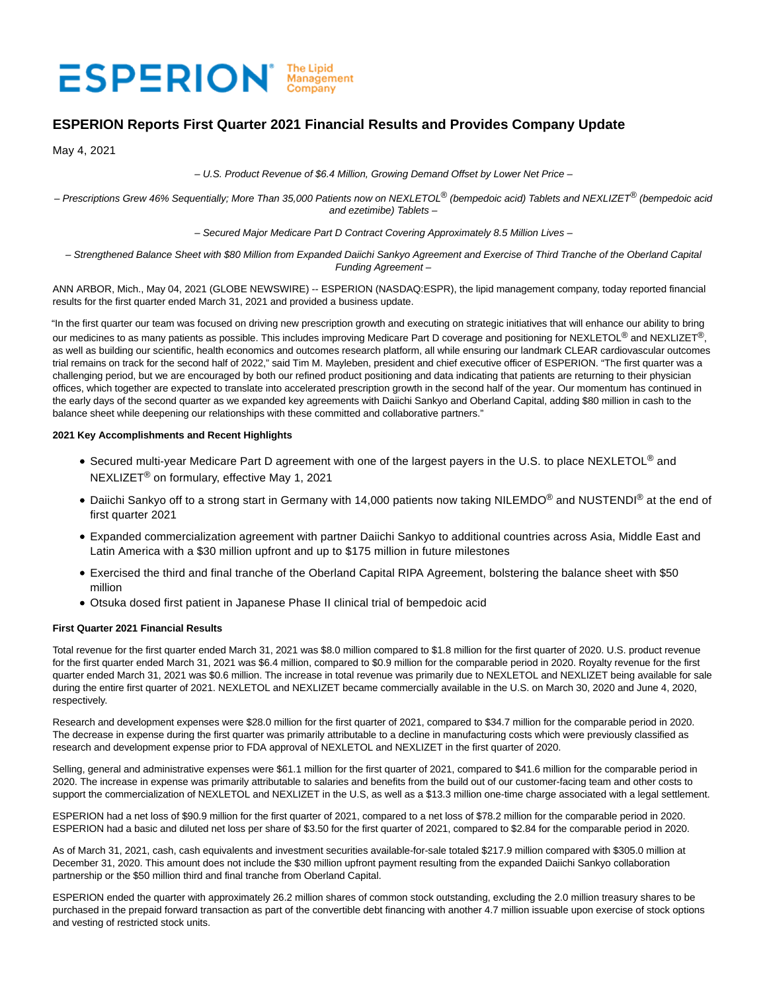# ESPERION Management

# **ESPERION Reports First Quarter 2021 Financial Results and Provides Company Update**

May 4, 2021

– U.S. Product Revenue of \$6.4 Million, Growing Demand Offset by Lower Net Price –

– Prescriptions Grew 46% Sequentially; More Than 35,000 Patients now on NEXLETOL® (bempedoic acid) Tablets and NEXLIZET® (bempedoic acid and ezetimibe) Tablets –

– Secured Major Medicare Part D Contract Covering Approximately 8.5 Million Lives –

– Strengthened Balance Sheet with \$80 Million from Expanded Daiichi Sankyo Agreement and Exercise of Third Tranche of the Oberland Capital Funding Agreement –

ANN ARBOR, Mich., May 04, 2021 (GLOBE NEWSWIRE) -- ESPERION (NASDAQ:ESPR), the lipid management company, today reported financial results for the first quarter ended March 31, 2021 and provided a business update.

"In the first quarter our team was focused on driving new prescription growth and executing on strategic initiatives that will enhance our ability to bring our medicines to as many patients as possible. This includes improving Medicare Part D coverage and positioning for NEXLETOL<sup>®</sup> and NEXLIZET<sup>®</sup>, as well as building our scientific, health economics and outcomes research platform, all while ensuring our landmark CLEAR cardiovascular outcomes trial remains on track for the second half of 2022," said Tim M. Mayleben, president and chief executive officer of ESPERION. "The first quarter was a challenging period, but we are encouraged by both our refined product positioning and data indicating that patients are returning to their physician offices, which together are expected to translate into accelerated prescription growth in the second half of the year. Our momentum has continued in the early days of the second quarter as we expanded key agreements with Daiichi Sankyo and Oberland Capital, adding \$80 million in cash to the balance sheet while deepening our relationships with these committed and collaborative partners."

# **2021 Key Accomplishments and Recent Highlights**

- Secured multi-year Medicare Part D agreement with one of the largest payers in the U.S. to place NEXLETOL<sup>®</sup> and NEXLIZET® on formulary, effective May 1, 2021
- Daiichi Sankyo off to a strong start in Germany with 14,000 patients now taking NILEMDO<sup>®</sup> and NUSTENDI<sup>®</sup> at the end of first quarter 2021
- Expanded commercialization agreement with partner Daiichi Sankyo to additional countries across Asia, Middle East and Latin America with a \$30 million upfront and up to \$175 million in future milestones
- Exercised the third and final tranche of the Oberland Capital RIPA Agreement, bolstering the balance sheet with \$50 million
- Otsuka dosed first patient in Japanese Phase II clinical trial of bempedoic acid

# **First Quarter 2021 Financial Results**

Total revenue for the first quarter ended March 31, 2021 was \$8.0 million compared to \$1.8 million for the first quarter of 2020. U.S. product revenue for the first quarter ended March 31, 2021 was \$6.4 million, compared to \$0.9 million for the comparable period in 2020. Royalty revenue for the first quarter ended March 31, 2021 was \$0.6 million. The increase in total revenue was primarily due to NEXLETOL and NEXLIZET being available for sale during the entire first quarter of 2021. NEXLETOL and NEXLIZET became commercially available in the U.S. on March 30, 2020 and June 4, 2020, respectively.

Research and development expenses were \$28.0 million for the first quarter of 2021, compared to \$34.7 million for the comparable period in 2020. The decrease in expense during the first quarter was primarily attributable to a decline in manufacturing costs which were previously classified as research and development expense prior to FDA approval of NEXLETOL and NEXLIZET in the first quarter of 2020.

Selling, general and administrative expenses were \$61.1 million for the first quarter of 2021, compared to \$41.6 million for the comparable period in 2020. The increase in expense was primarily attributable to salaries and benefits from the build out of our customer-facing team and other costs to support the commercialization of NEXLETOL and NEXLIZET in the U.S, as well as a \$13.3 million one-time charge associated with a legal settlement.

ESPERION had a net loss of \$90.9 million for the first quarter of 2021, compared to a net loss of \$78.2 million for the comparable period in 2020. ESPERION had a basic and diluted net loss per share of \$3.50 for the first quarter of 2021, compared to \$2.84 for the comparable period in 2020.

As of March 31, 2021, cash, cash equivalents and investment securities available-for-sale totaled \$217.9 million compared with \$305.0 million at December 31, 2020. This amount does not include the \$30 million upfront payment resulting from the expanded Daiichi Sankyo collaboration partnership or the \$50 million third and final tranche from Oberland Capital.

ESPERION ended the quarter with approximately 26.2 million shares of common stock outstanding, excluding the 2.0 million treasury shares to be purchased in the prepaid forward transaction as part of the convertible debt financing with another 4.7 million issuable upon exercise of stock options and vesting of restricted stock units.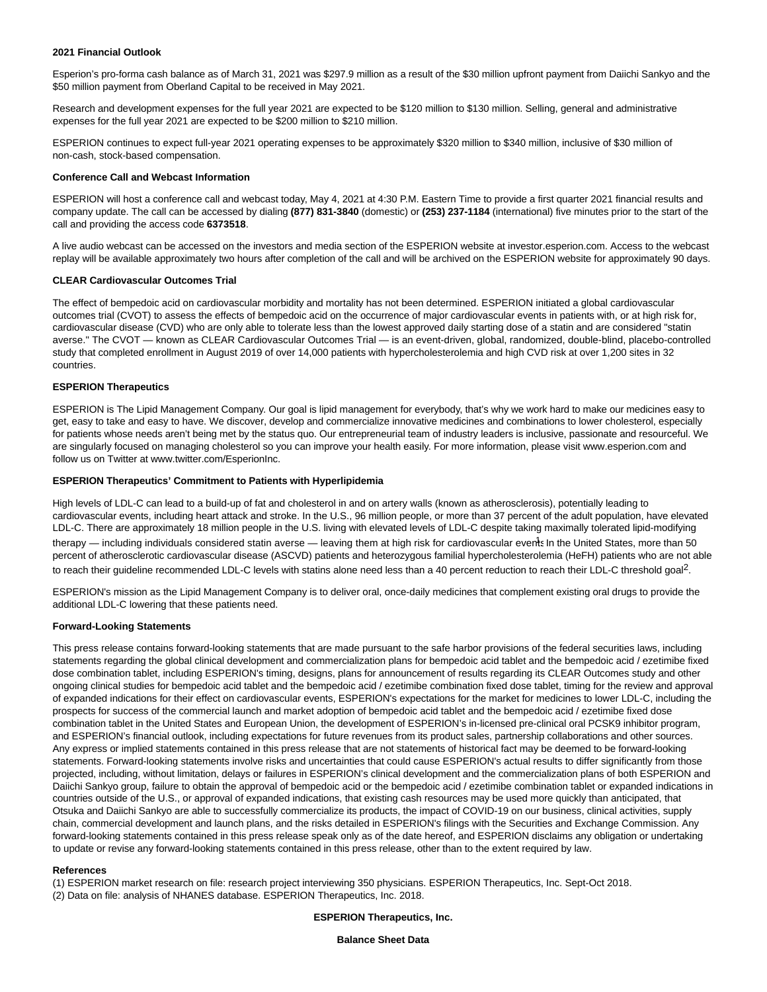## **2021 Financial Outlook**

Esperion's pro-forma cash balance as of March 31, 2021 was \$297.9 million as a result of the \$30 million upfront payment from Daiichi Sankyo and the \$50 million payment from Oberland Capital to be received in May 2021.

Research and development expenses for the full year 2021 are expected to be \$120 million to \$130 million. Selling, general and administrative expenses for the full year 2021 are expected to be \$200 million to \$210 million.

ESPERION continues to expect full-year 2021 operating expenses to be approximately \$320 million to \$340 million, inclusive of \$30 million of non-cash, stock-based compensation.

#### **Conference Call and Webcast Information**

ESPERION will host a conference call and webcast today, May 4, 2021 at 4:30 P.M. Eastern Time to provide a first quarter 2021 financial results and company update. The call can be accessed by dialing **(877) 831-3840** (domestic) or **(253) 237-1184** (international) five minutes prior to the start of the call and providing the access code **6373518**.

A live audio webcast can be accessed on the investors and media section of the ESPERION website at investor.esperion.com. Access to the webcast replay will be available approximately two hours after completion of the call and will be archived on the ESPERION website for approximately 90 days.

#### **CLEAR Cardiovascular Outcomes Trial**

The effect of bempedoic acid on cardiovascular morbidity and mortality has not been determined. ESPERION initiated a global cardiovascular outcomes trial (CVOT) to assess the effects of bempedoic acid on the occurrence of major cardiovascular events in patients with, or at high risk for, cardiovascular disease (CVD) who are only able to tolerate less than the lowest approved daily starting dose of a statin and are considered "statin averse." The CVOT — known as CLEAR Cardiovascular Outcomes Trial — is an event-driven, global, randomized, double-blind, placebo-controlled study that completed enrollment in August 2019 of over 14,000 patients with hypercholesterolemia and high CVD risk at over 1,200 sites in 32 countries.

# **ESPERION Therapeutics**

ESPERION is The Lipid Management Company. Our goal is lipid management for everybody, that's why we work hard to make our medicines easy to get, easy to take and easy to have. We discover, develop and commercialize innovative medicines and combinations to lower cholesterol, especially for patients whose needs aren't being met by the status quo. Our entrepreneurial team of industry leaders is inclusive, passionate and resourceful. We are singularly focused on managing cholesterol so you can improve your health easily. For more information, please visit www.esperion.com and follow us on Twitter at www.twitter.com/EsperionInc.

#### **ESPERION Therapeutics' Commitment to Patients with Hyperlipidemia**

High levels of LDL-C can lead to a build-up of fat and cholesterol in and on artery walls (known as atherosclerosis), potentially leading to cardiovascular events, including heart attack and stroke. In the U.S., 96 million people, or more than 37 percent of the adult population, have elevated LDL-C. There are approximately 18 million people in the U.S. living with elevated levels of LDL-C despite taking maximally tolerated lipid-modifying therapy — including individuals considered statin averse — leaving them at high risk for cardiovascular events In the United States, more than 50 percent of atherosclerotic cardiovascular disease (ASCVD) patients and heterozygous familial hypercholesterolemia (HeFH) patients who are not able to reach their guideline recommended LDL-C levels with statins alone need less than a 40 percent reduction to reach their LDL-C threshold goal<sup>2</sup>.

ESPERION's mission as the Lipid Management Company is to deliver oral, once-daily medicines that complement existing oral drugs to provide the additional LDL-C lowering that these patients need.

#### **Forward-Looking Statements**

This press release contains forward-looking statements that are made pursuant to the safe harbor provisions of the federal securities laws, including statements regarding the global clinical development and commercialization plans for bempedoic acid tablet and the bempedoic acid / ezetimibe fixed dose combination tablet, including ESPERION's timing, designs, plans for announcement of results regarding its CLEAR Outcomes study and other ongoing clinical studies for bempedoic acid tablet and the bempedoic acid / ezetimibe combination fixed dose tablet, timing for the review and approval of expanded indications for their effect on cardiovascular events, ESPERION's expectations for the market for medicines to lower LDL-C, including the prospects for success of the commercial launch and market adoption of bempedoic acid tablet and the bempedoic acid / ezetimibe fixed dose combination tablet in the United States and European Union, the development of ESPERION's in-licensed pre-clinical oral PCSK9 inhibitor program, and ESPERION's financial outlook, including expectations for future revenues from its product sales, partnership collaborations and other sources. Any express or implied statements contained in this press release that are not statements of historical fact may be deemed to be forward-looking statements. Forward-looking statements involve risks and uncertainties that could cause ESPERION's actual results to differ significantly from those projected, including, without limitation, delays or failures in ESPERION's clinical development and the commercialization plans of both ESPERION and Daiichi Sankyo group, failure to obtain the approval of bempedoic acid or the bempedoic acid / ezetimibe combination tablet or expanded indications in countries outside of the U.S., or approval of expanded indications, that existing cash resources may be used more quickly than anticipated, that Otsuka and Daiichi Sankyo are able to successfully commercialize its products, the impact of COVID-19 on our business, clinical activities, supply chain, commercial development and launch plans, and the risks detailed in ESPERION's filings with the Securities and Exchange Commission. Any forward-looking statements contained in this press release speak only as of the date hereof, and ESPERION disclaims any obligation or undertaking to update or revise any forward-looking statements contained in this press release, other than to the extent required by law.

#### **References**

(1) ESPERION market research on file: research project interviewing 350 physicians. ESPERION Therapeutics, Inc. Sept-Oct 2018.

(2) Data on file: analysis of NHANES database. ESPERION Therapeutics, Inc. 2018.

**ESPERION Therapeutics, Inc.**

**Balance Sheet Data**